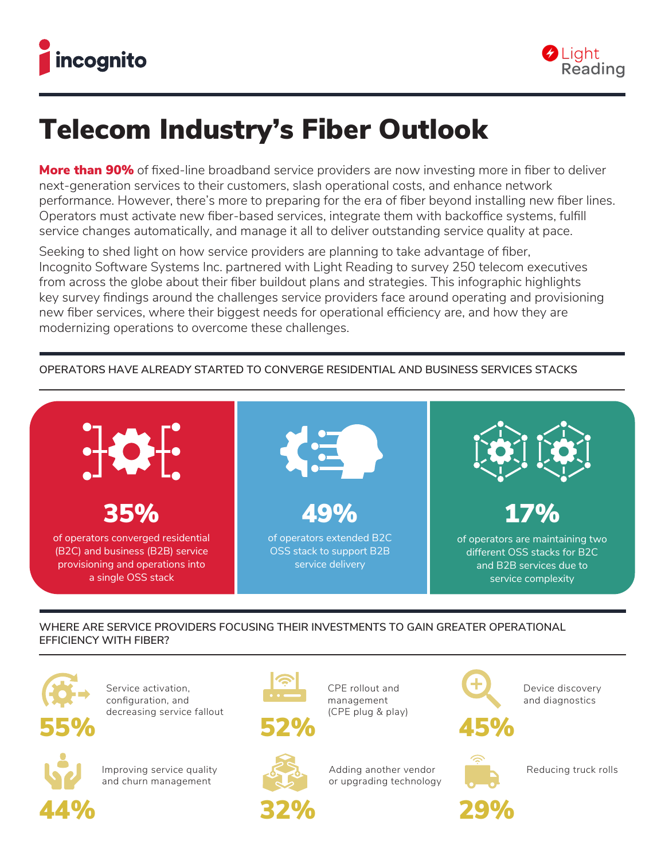



# Telecom Industry's Fiber Outlook

**More than 90%** of fixed-line broadband service providers are now investing more in fiber to deliver next-generation services to their customers, slash operational costs, and enhance network performance. However, there's more to preparing for the era of fiber beyond installing new fiber lines. Operators must activate new fiber-based services, integrate them with backoffice systems, fulfill service changes automatically, and manage it all to deliver outstanding service quality at pace.

Seeking to shed light on how service providers are planning to take advantage of fiber, Incognito Software Systems Inc. partnered with Light Reading to survey 250 telecom executives from across the globe about their fiber buildout plans and strategies. This infographic highlights key survey findings around the challenges service providers face around operating and provisioning new fiber services, where their biggest needs for operational efficiency are, and how they are modernizing operations to overcome these challenges.

#### 17% of operators are maintaining two different OSS stacks for B2C and B2B services due to service complexity 35% of operators converged residential (B2C) and business (B2B) service provisioning and operations into a single OSS stack 49% of operators extended B2C OSS stack to support B2B service delivery

## **OPERATORS HAVE ALREADY STARTED TO CONVERGE RESIDENTIAL AND BUSINESS SERVICES STACKS**

## **WHERE ARE SERVICE PROVIDERS FOCUSING THEIR INVESTMENTS TO GAIN GREATER OPERATIONAL EFFICIENCY WITH FIBER?**